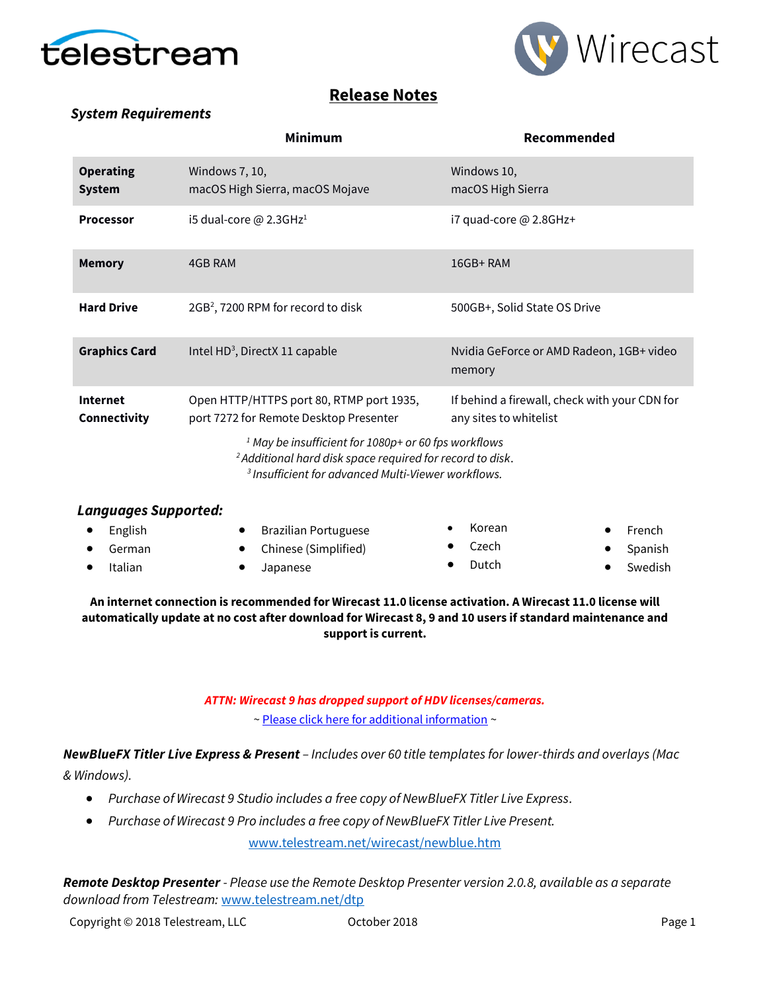



## **Release Notes**

### *System Requirements*

|                                   | <b>Minimum</b>                                                                                                                               | Recommended                                                             |  |  |  |
|-----------------------------------|----------------------------------------------------------------------------------------------------------------------------------------------|-------------------------------------------------------------------------|--|--|--|
| <b>Operating</b><br><b>System</b> | Windows 7, 10,<br>macOS High Sierra, macOS Mojave                                                                                            | Windows 10,<br>macOS High Sierra                                        |  |  |  |
| <b>Processor</b>                  | i5 dual-core @ 2.3GHz <sup>1</sup>                                                                                                           | i7 quad-core @ 2.8GHz+                                                  |  |  |  |
| <b>Memory</b>                     | 4GB RAM                                                                                                                                      | 16GB+RAM                                                                |  |  |  |
| <b>Hard Drive</b>                 | $2GB2$ , 7200 RPM for record to disk                                                                                                         | 500GB+, Solid State OS Drive                                            |  |  |  |
| <b>Graphics Card</b>              | Intel HD <sup>3</sup> , DirectX 11 capable                                                                                                   | Nvidia GeForce or AMD Radeon, 1GB+ video<br>memory                      |  |  |  |
| <b>Internet</b><br>Connectivity   | Open HTTP/HTTPS port 80, RTMP port 1935,<br>port 7272 for Remote Desktop Presenter<br>$1$ May be insufficient for 1080p+ or 60 fps workflows | If behind a firewall, check with your CDN for<br>any sites to whitelist |  |  |  |
|                                   | <sup>2</sup> Additional hard disk space required for record to disk.                                                                         |                                                                         |  |  |  |

*<sup>3</sup>Insufficient for advanced Multi-Viewer workflows.*

| Languages Supported: |                             |        |                  |
|----------------------|-----------------------------|--------|------------------|
| English              | <b>Brazilian Portuguese</b> | Korean | $\bullet$ French |
| German               | • Chinese (Simplified)      | Czech  | • Spanish        |
| Italian              | Japanese                    | Dutch  | Swedish          |
|                      |                             |        |                  |

**An internet connection is recommended for Wirecast 11.0 license activation. A Wirecast 11.0 license will automatically update at no cost after download for Wirecast 8, 9 and 10 users if standard maintenance and support is current.**

#### *ATTN: Wirecast 9 has dropped support of HDV licenses/cameras.*

[~ Please click here for additional information](http://www.telestream.net/telestream-support/wire-cast/faq.htm?kbURL=http://telestream.force.com/kb/articles/Knowledge_Article/Wirecast-HDV-Firewire-No-longer-Supported/) ~

*NewBlueFX Titler Live Express & Present – Includes over 60 title templates for lower-thirds and overlays (Mac & Windows).*

- *Purchase of Wirecast 9 Studio includes a free copy of NewBlueFX Titler Live Express.*
- *Purchase of Wirecast 9 Pro includes a free copy of NewBlueFX Titler Live Present.*

[www.telestream.net/wirecast/newblue.htm](http://www.telestream.net/wirecast/newblue.htm)

*Remote Desktop Presenter - Please use the Remote Desktop Presenter version 2.0.8, available as a separate download from Telestream:* [www.telestream.net/dtp](http://www.telestream.net/dtp)

Copyright © 2018 Telestream, LLC October 2018 Page 1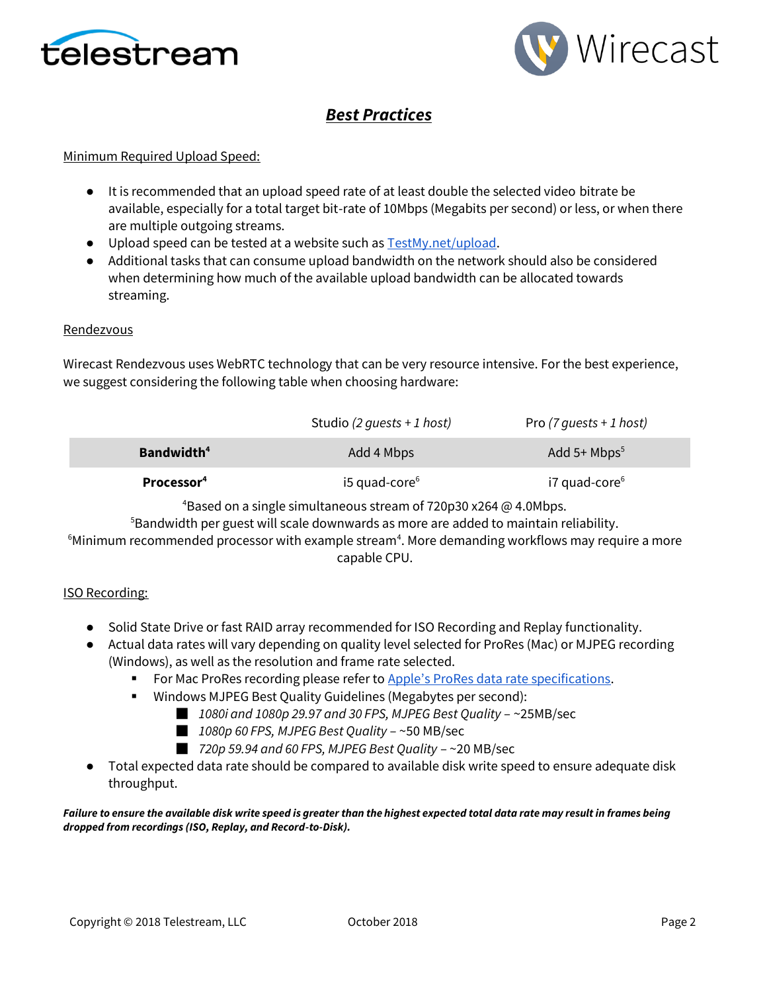



# *Best Practices*

#### Minimum Required Upload Speed:

- It is recommended that an upload speed rate of at least double the selected video bitrate be available, especially for a total target bit-rate of 10Mbps (Megabits per second) or less, or when there are multiple outgoing streams.
- Upload speed can be tested at a website such as **TestMy.net/upload**.
- Additional tasks that can consume upload bandwidth on the network should also be considered when determining how much of the available upload bandwidth can be allocated towards streaming.

#### Rendezvous

Wirecast Rendezvous uses WebRTC technology that can be very resource intensive. For the best experience, we suggest considering the following table when choosing hardware:

|                        | Studio (2 quests + 1 host) | Pro $(7 \text{ guests} + 1 \text{ host})$ |
|------------------------|----------------------------|-------------------------------------------|
| Bandwidth <sup>4</sup> | Add 4 Mbps                 | Add $5+$ Mbps <sup>5</sup>                |
| Processor <sup>4</sup> | $i5$ quad-core $6$         | $i7$ quad-core $6$                        |

<sup>4</sup>Based on a single simultaneous stream of 720p30 x264  $\omega$  4.0Mbps.

<sup>5</sup>Bandwidth per guest will scale downwards as more are added to maintain reliability.

 $6$ Minimum recommended processor with example stream<sup>4</sup>. More demanding workflows may require a more capable CPU.

#### ISO Recording:

- Solid State Drive or fast RAID array recommended for ISO Recording and Replay functionality.
- Actual data rates will vary depending on quality level selected for ProRes (Mac) or MJPEG recording (Windows), as well as the resolution and frame rate selected.
	- For Mac ProRes recording please refer to [Apple's ProRes data rate specifications](https://documentation.apple.com/en/finalcutpro/professionalformatsandworkflows/index.html).
	- Windows MJPEG Best Quality Guidelines (Megabytes per second):
		- *1080i and 1080p 29.97 and 30 FPS, MJPEG Best Quality* ~25MB/sec
		- *1080p 60 FPS, MJPEG Best Quality* ~50 MB/sec
		- *720p 59.94 and 60 FPS, MJPEG Best Quality* ~20 MB/sec
- Total expected data rate should be compared to available disk write speed to ensure adequate disk throughput.

*Failure to ensure the available disk write speed is greater than the highest expected total data rate may result in frames being dropped from recordings (ISO, Replay, and Record-to-Disk).*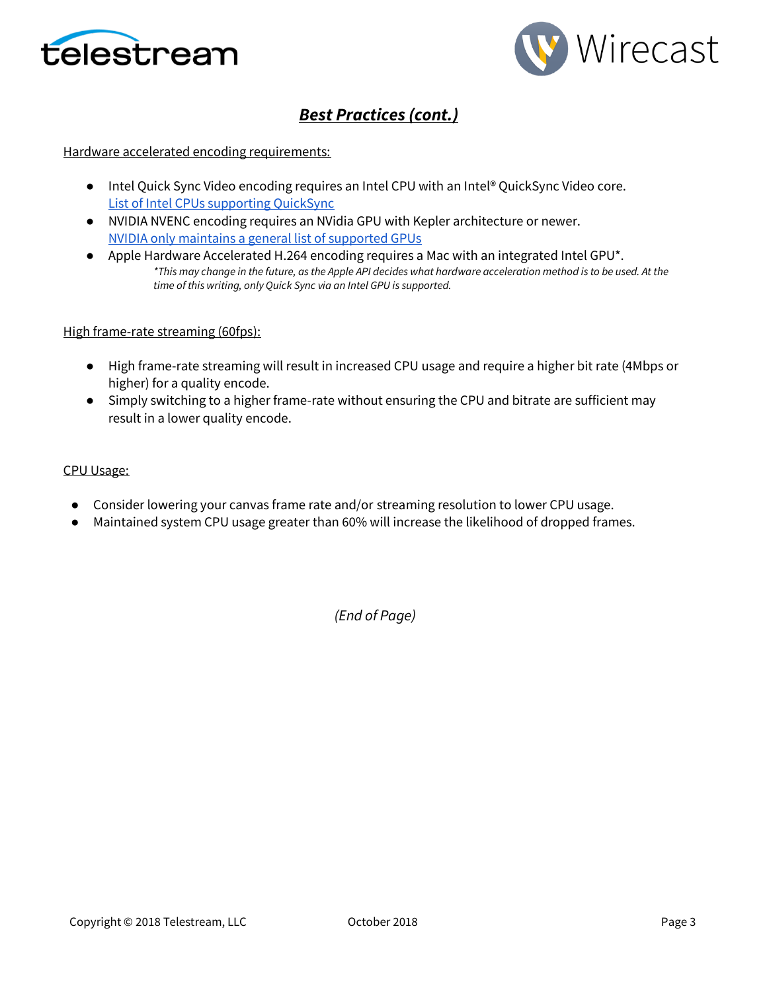



# *Best Practices (cont.)*

#### Hardware accelerated encoding requirements:

- Intel Quick Sync Video encoding requires an Intel CPU with an Intel® QuickSync Video core[.](http://ark.intel.com/search/advanced?QuickSyncVideo=true&MarketSegment=DT) [List of Intel CPUs supporting QuickSync](http://ark.intel.com/search/advanced?QuickSyncVideo=true&MarketSegment=DT)
- NVIDIA NVENC encoding requires an NVidia GPU with Kepler architecture or newer[.](https://developer.nvidia.com/nvidia-video-codec-sdk) [NVIDIA only maintains a general list of supported GPUs](https://developer.nvidia.com/nvidia-video-codec-sdk)
- Apple Hardware Accelerated H.264 encoding requires a Mac with an integrated Intel GPU<sup>\*</sup>. *\*This may change in the future, as the Apple API decides what hardware acceleration method is to be used. At the time of this writing, only Quick Sync via an Intel GPU is supported.*

#### High frame-rate streaming (60fps):

- High frame-rate streaming will result in increased CPU usage and require a higher bit rate (4Mbps or higher) for a quality encode.
- Simply switching to a higher frame-rate without ensuring the CPU and bitrate are sufficient may result in a lower quality encode.

#### CPU Usage:

- Consider lowering your canvas frame rate and/or streaming resolution to lower CPU usage.
- Maintained system CPU usage greater than 60% will increase the likelihood of dropped frames.

*(End of Page)*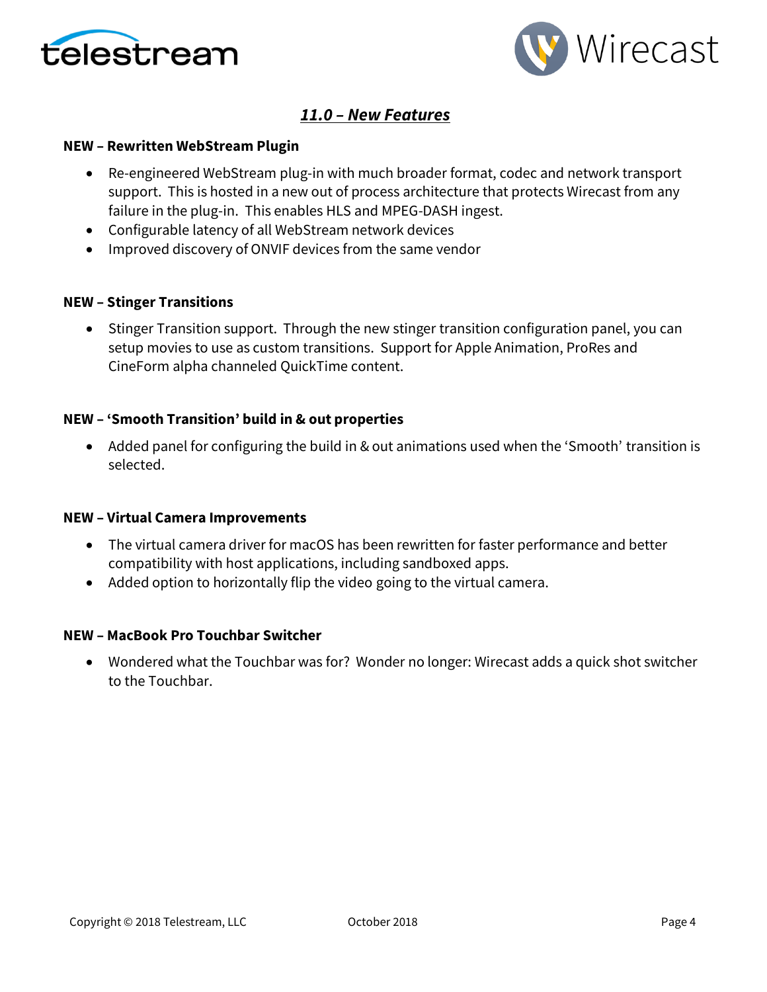



## *11.0 – New Features*

### **NEW – Rewritten WebStream Plugin**

- Re-engineered WebStream plug-in with much broader format, codec and network transport support. This is hosted in a new out of process architecture that protects Wirecast from any failure in the plug-in. This enables HLS and MPEG-DASH ingest.
- Configurable latency of all WebStream network devices
- Improved discovery of ONVIF devices from the same vendor

### **NEW – Stinger Transitions**

• Stinger Transition support. Through the new stinger transition configuration panel, you can setup movies to use as custom transitions. Support for Apple Animation, ProRes and CineForm alpha channeled QuickTime content.

### **NEW – 'Smooth Transition' build in & out properties**

• Added panel for configuring the build in & out animations used when the 'Smooth' transition is selected.

#### **NEW – Virtual Camera Improvements**

- The virtual camera driver for macOS has been rewritten for faster performance and better compatibility with host applications, including sandboxed apps.
- Added option to horizontally flip the video going to the virtual camera.

#### **NEW – MacBook Pro Touchbar Switcher**

• Wondered what the Touchbar was for? Wonder no longer: Wirecast adds a quick shot switcher to the Touchbar.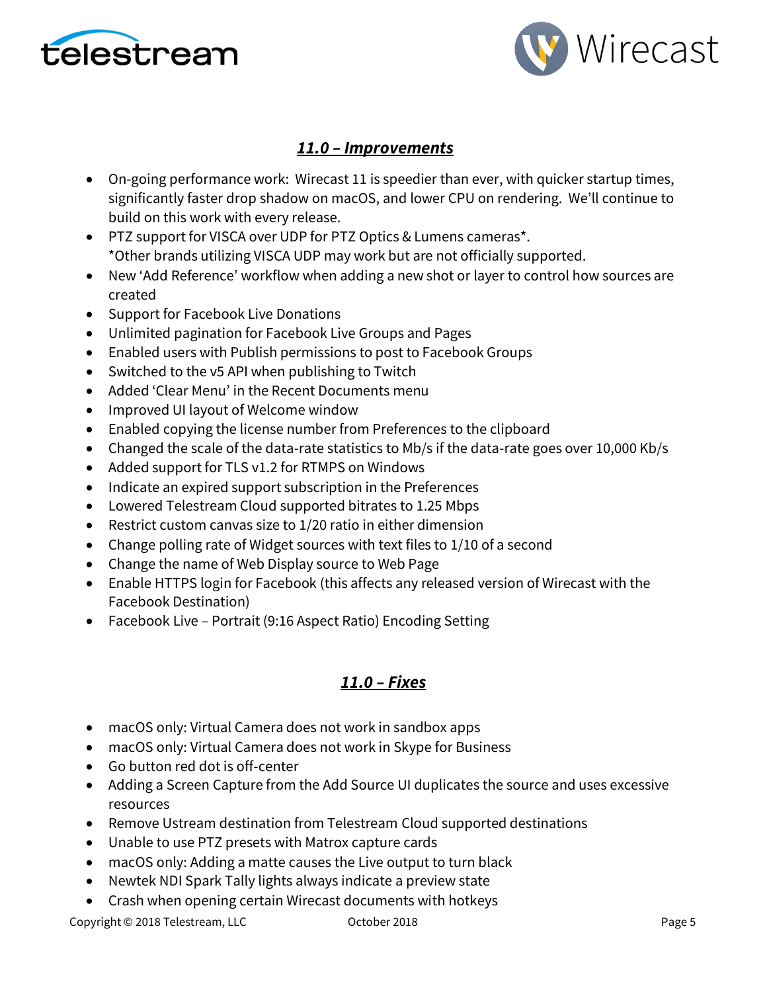



## *11.0 – Improvements*

- On-going performance work: Wirecast 11 is speedier than ever, with quicker startup times, significantly faster drop shadow on macOS, and lower CPU on rendering. We'll continue to build on this work with every release.
- PTZ support for VISCA over UDP for PTZ Optics & Lumens cameras\*. \*Other brands utilizing VISCA UDP may work but are not officially supported.
- New 'Add Reference' workflow when adding a new shot or layer to control how sources are created
- Support for Facebook Live Donations
- Unlimited pagination for Facebook Live Groups and Pages
- Enabled users with Publish permissions to post to Facebook Groups
- Switched to the v5 API when publishing to Twitch
- Added 'Clear Menu' in the Recent Documents menu
- Improved UI layout of Welcome window
- Enabled copying the license number from Preferences to the clipboard
- Changed the scale of the data-rate statistics to Mb/s if the data-rate goes over 10,000 Kb/s
- Added support for TLS v1.2 for RTMPS on Windows
- Indicate an expired support subscription in the Preferences
- Lowered Telestream Cloud supported bitrates to 1.25 Mbps
- Restrict custom canvas size to 1/20 ratio in either dimension
- Change polling rate of Widget sources with text files to 1/10 of a second
- Change the name of Web Display source to Web Page
- Enable HTTPS login for Facebook (this affects any released version of Wirecast with the Facebook Destination)
- Facebook Live Portrait (9:16 Aspect Ratio) Encoding Setting

## *11.0 – Fixes*

- macOS only: Virtual Camera does not work in sandbox apps
- macOS only: Virtual Camera does not work in Skype for Business
- Go button red dot is off-center
- Adding a Screen Capture from the Add Source UI duplicates the source and uses excessive resources
- Remove Ustream destination from Telestream Cloud supported destinations
- Unable to use PTZ presets with Matrox capture cards
- macOS only: Adding a matte causes the Live output to turn black
- Newtek NDI Spark Tally lights always indicate a preview state
- Crash when opening certain Wirecast documents with hotkeys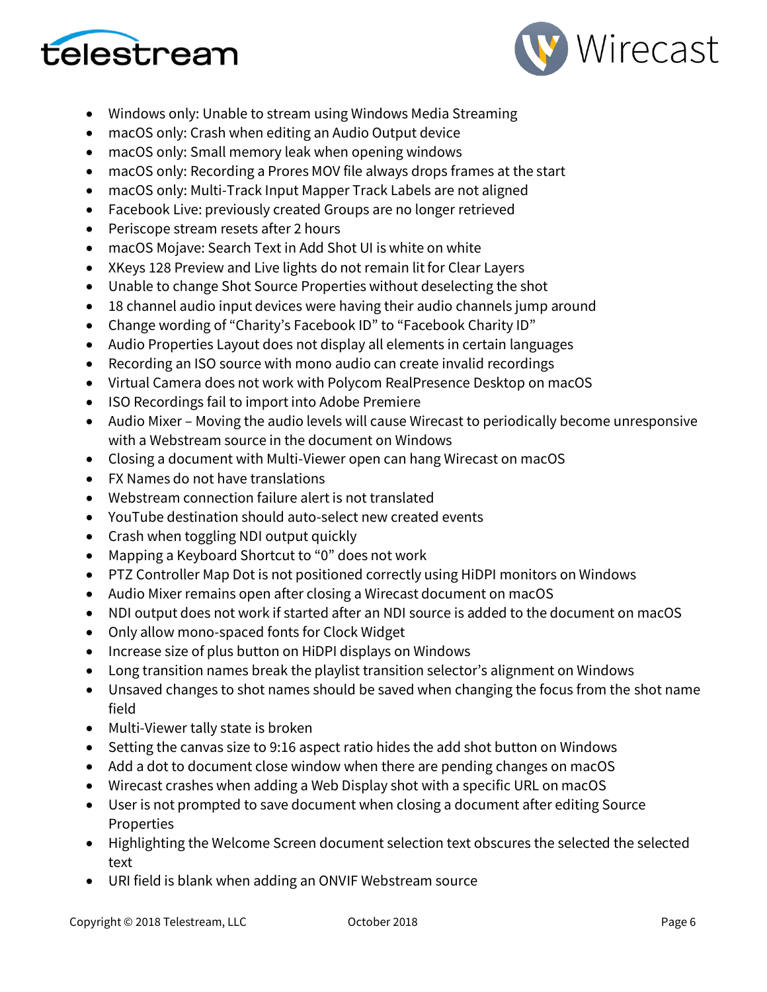



- Windows only: Unable to stream using Windows Media Streaming
- macOS only: Crash when editing an Audio Output device
- macOS only: Small memory leak when opening windows
- macOS only: Recording a Prores MOV file always drops frames at the start
- macOS only: Multi-Track Input Mapper Track Labels are not aligned
- Facebook Live: previously created Groups are no longer retrieved
- Periscope stream resets after 2 hours
- macOS Mojave: Search Text in Add Shot UI is white on white
- XKeys 128 Preview and Live lights do not remain lit for Clear Layers
- Unable to change Shot Source Properties without deselecting the shot
- 18 channel audio input devices were having their audio channels jump around
- Change wording of "Charity's Facebook ID" to "Facebook Charity ID"
- Audio Properties Layout does not display all elements in certain languages
- Recording an ISO source with mono audio can create invalid recordings
- Virtual Camera does not work with Polycom RealPresence Desktop on macOS
- ISO Recordings fail to import into Adobe Premiere
- Audio Mixer Moving the audio levels will cause Wirecast to periodically become unresponsive with a Webstream source in the document on Windows
- Closing a document with Multi-Viewer open can hang Wirecast on macOS
- FX Names do not have translations
- Webstream connection failure alert is not translated
- YouTube destination should auto-select new created events
- Crash when toggling NDI output quickly
- Mapping a Keyboard Shortcut to "0" does not work
- PTZ Controller Map Dot is not positioned correctly using HiDPI monitors on Windows
- Audio Mixer remains open after closing a Wirecast document on macOS
- NDI output does not work if started after an NDI source is added to the document on macOS
- Only allow mono-spaced fonts for Clock Widget
- Increase size of plus button on HiDPI displays on Windows
- Long transition names break the playlist transition selector's alignment on Windows
- Unsaved changes to shot names should be saved when changing the focus from the shot name field
- Multi-Viewer tally state is broken
- Setting the canvas size to 9:16 aspect ratio hides the add shot button on Windows
- Add a dot to document close window when there are pending changes on macOS
- Wirecast crashes when adding a Web Display shot with a specific URL on macOS
- User is not prompted to save document when closing a document after editing Source Properties
- Highlighting the Welcome Screen document selection text obscures the selected the selected text
- URI field is blank when adding an ONVIF Webstream source